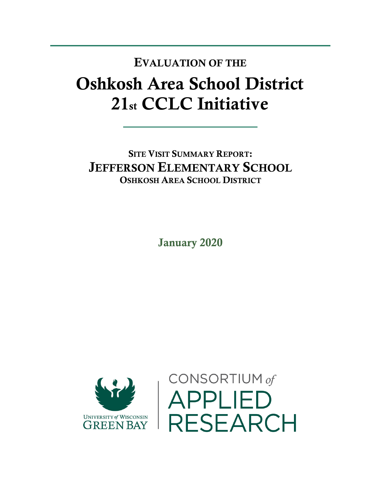## Oshkosh Area School District 21st CCLC Initiative EVALUATION OF THE

SITE VISIT SUMMARY REPORT: JEFFERSON ELEMENTARY SCHOOL OSHKOSH AREA SCHOOL DISTRICT

January 2020



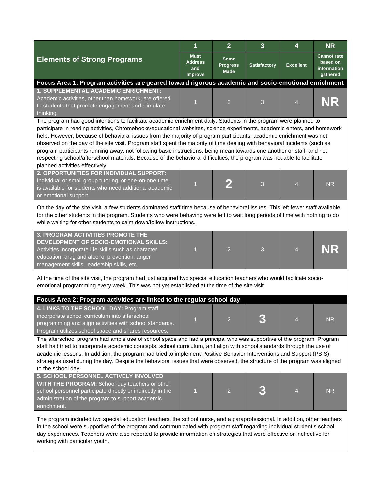|                                                                                                                                                                                                                                                                                                                                                                                                                                                                                                                                                                                                                                                                                                                                                                                        | 1                                               | $\overline{2}$                                | $\overline{\mathbf{3}}$ | 4                | <b>NR</b>                                                 |  |  |  |  |
|----------------------------------------------------------------------------------------------------------------------------------------------------------------------------------------------------------------------------------------------------------------------------------------------------------------------------------------------------------------------------------------------------------------------------------------------------------------------------------------------------------------------------------------------------------------------------------------------------------------------------------------------------------------------------------------------------------------------------------------------------------------------------------------|-------------------------------------------------|-----------------------------------------------|-------------------------|------------------|-----------------------------------------------------------|--|--|--|--|
| <b>Elements of Strong Programs</b>                                                                                                                                                                                                                                                                                                                                                                                                                                                                                                                                                                                                                                                                                                                                                     | <b>Must</b><br><b>Address</b><br>and<br>Improve | <b>Some</b><br><b>Progress</b><br><b>Made</b> | <b>Satisfactory</b>     | <b>Excellent</b> | <b>Cannot rate</b><br>based on<br>information<br>gathered |  |  |  |  |
| Focus Area 1: Program activities are geared toward rigorous academic and socio-emotional enrichment                                                                                                                                                                                                                                                                                                                                                                                                                                                                                                                                                                                                                                                                                    |                                                 |                                               |                         |                  |                                                           |  |  |  |  |
| <b>1. SUPPLEMENTAL ACADEMIC ENRICHMENT:</b><br>Academic activities, other than homework, are offered<br>to students that promote engagement and stimulate<br>thinking.                                                                                                                                                                                                                                                                                                                                                                                                                                                                                                                                                                                                                 | 1                                               | $\overline{2}$                                | 3                       | $\overline{4}$   | NR                                                        |  |  |  |  |
| The program had good intentions to facilitate academic enrichment daily. Students in the program were planned to<br>participate in reading activities, Chromebooks/educational websites, science experiments, academic enters, and homework<br>help. However, because of behavioral issues from the majority of program participants, academic enrichment was not<br>observed on the day of the site visit. Program staff spent the majority of time dealing with behavioral incidents (such as<br>program participants running away, not following basic instructions, being mean towards one another or staff, and not<br>respecting school/afterschool materials. Because of the behavioral difficulties, the program was not able to facilitate<br>planned activities effectively. |                                                 |                                               |                         |                  |                                                           |  |  |  |  |
| 2. OPPORTUNITIES FOR INDIVIDUAL SUPPORT:<br>Individual or small group tutoring, or one-on-one time,<br>is available for students who need additional academic<br>or emotional support.                                                                                                                                                                                                                                                                                                                                                                                                                                                                                                                                                                                                 | $\overline{1}$                                  |                                               | 3                       | $\overline{4}$   | <b>NR</b>                                                 |  |  |  |  |
| On the day of the site visit, a few students dominated staff time because of behavioral issues. This left fewer staff available<br>for the other students in the program. Students who were behaving were left to wait long periods of time with nothing to do<br>while waiting for other students to calm down/follow instructions.                                                                                                                                                                                                                                                                                                                                                                                                                                                   |                                                 |                                               |                         |                  |                                                           |  |  |  |  |
| 3. PROGRAM ACTIVITIES PROMOTE THE<br>DEVELOPMENT OF SOCIO-EMOTIONAL SKILLS:<br>Activities incorporate life-skills such as character<br>education, drug and alcohol prevention, anger<br>management skills, leadership skills, etc.                                                                                                                                                                                                                                                                                                                                                                                                                                                                                                                                                     | 1                                               | $\overline{2}$                                | 3                       | $\overline{4}$   | NR                                                        |  |  |  |  |
| At the time of the site visit, the program had just acquired two special education teachers who would facilitate socio-<br>emotional programming every week. This was not yet established at the time of the site visit.                                                                                                                                                                                                                                                                                                                                                                                                                                                                                                                                                               |                                                 |                                               |                         |                  |                                                           |  |  |  |  |
| Focus Area 2: Program activities are linked to the regular school day                                                                                                                                                                                                                                                                                                                                                                                                                                                                                                                                                                                                                                                                                                                  |                                                 |                                               |                         |                  |                                                           |  |  |  |  |
| 4. LINKS TO THE SCHOOL DAY: Program staff<br>incorporate school curriculum into afterschool<br>programming and align activities with school standards.<br>Program utilizes school space and shares resources.                                                                                                                                                                                                                                                                                                                                                                                                                                                                                                                                                                          |                                                 |                                               |                         |                  | ${\sf NR}$                                                |  |  |  |  |
| The afterschool program had ample use of school space and had a principal who was supportive of the program. Program<br>staff had tried to incorporate academic concepts, school curriculum, and align with school standards through the use of<br>academic lessons. In addition, the program had tried to implement Positive Behavior Interventions and Support (PBIS)<br>strategies used during the day. Despite the behavioral issues that were observed, the structure of the program was aligned<br>to the school day.                                                                                                                                                                                                                                                            |                                                 |                                               |                         |                  |                                                           |  |  |  |  |
| 5. SCHOOL PERSONNEL ACTIVELY INVOLVED<br>WITH THE PROGRAM: School-day teachers or other<br>school personnel participate directly or indirectly in the<br>administration of the program to support academic<br>enrichment.                                                                                                                                                                                                                                                                                                                                                                                                                                                                                                                                                              | $\overline{\mathbf{1}}$                         | $\overline{2}$                                |                         |                  | <b>NR</b>                                                 |  |  |  |  |
| The program included two special education teachers, the school nurse, and a paraprofessional. In addition, other teachers<br>in the school were supportive of the program and communicated with program staff regarding individual student's school<br>day experiences. Teachers were also reported to provide information on strategies that were effective or ineffective for<br>working with particular youth.                                                                                                                                                                                                                                                                                                                                                                     |                                                 |                                               |                         |                  |                                                           |  |  |  |  |